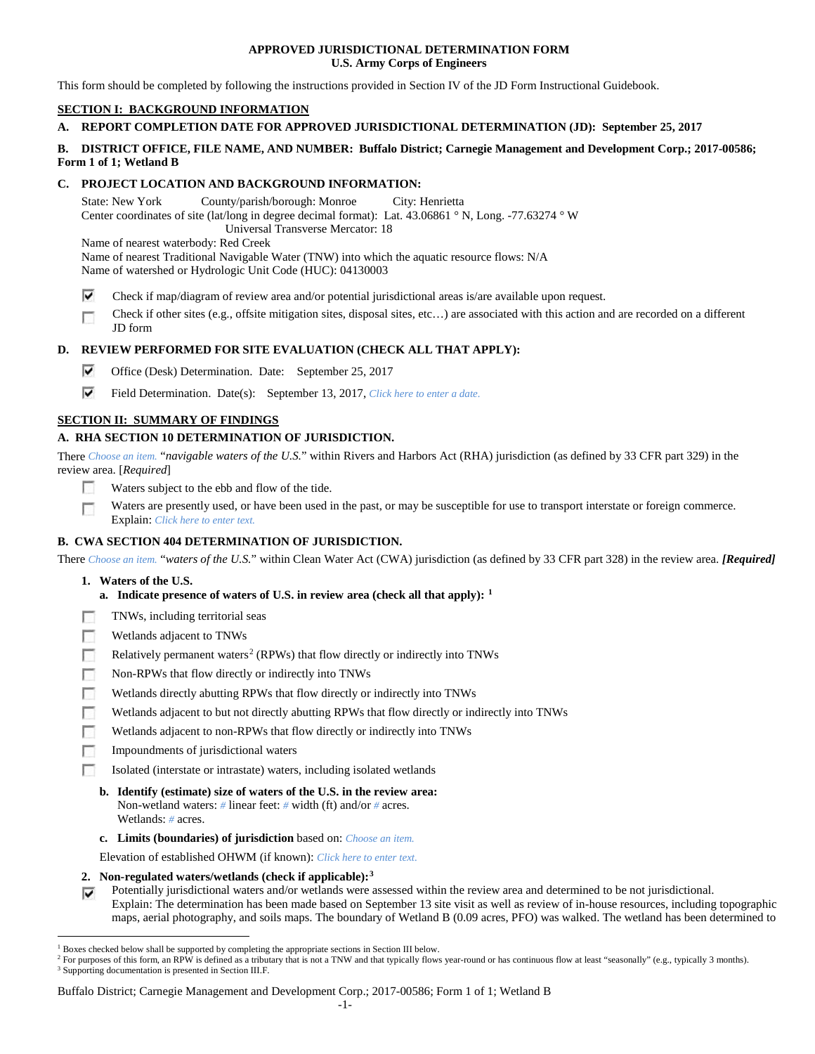### **APPROVED JURISDICTIONAL DETERMINATION FORM U.S. Army Corps of Engineers**

This form should be completed by following the instructions provided in Section IV of the JD Form Instructional Guidebook.

# **SECTION I: BACKGROUND INFORMATION**

## **A. REPORT COMPLETION DATE FOR APPROVED JURISDICTIONAL DETERMINATION (JD): September 25, 2017**

### **B. DISTRICT OFFICE, FILE NAME, AND NUMBER: Buffalo District; Carnegie Management and Development Corp.; 2017-00586; Form 1 of 1; Wetland B**

## **C. PROJECT LOCATION AND BACKGROUND INFORMATION:**

State: New York County/parish/borough: Monroe City: Henrietta Center coordinates of site (lat/long in degree decimal format): Lat. 43.06861 ° N, Long. -77.63274 ° W Universal Transverse Mercator: 18 Name of nearest waterbody: Red Creek Name of nearest Traditional Navigable Water (TNW) into which the aquatic resource flows: N/A

Name of watershed or Hydrologic Unit Code (HUC): 04130003

- ⊽ Check if map/diagram of review area and/or potential jurisdictional areas is/are available upon request.
- Check if other sites (e.g., offsite mitigation sites, disposal sites, etc…) are associated with this action and are recorded on a different Г JD form

# **D. REVIEW PERFORMED FOR SITE EVALUATION (CHECK ALL THAT APPLY):**

- ⊽ Office (Desk) Determination. Date: September 25, 2017
- ⊽ Field Determination. Date(s): September 13, 2017, *Click here to enter a date.*

## **SECTION II: SUMMARY OF FINDINGS**

# **A. RHA SECTION 10 DETERMINATION OF JURISDICTION.**

There *Choose an item.* "*navigable waters of the U.S.*" within Rivers and Harbors Act (RHA) jurisdiction (as defined by 33 CFR part 329) in the review area. [*Required*]

- Waters subject to the ebb and flow of the tide. n
- Waters are presently used, or have been used in the past, or may be susceptible for use to transport interstate or foreign commerce. Г Explain: *Click here to enter text.*

### **B. CWA SECTION 404 DETERMINATION OF JURISDICTION.**

There *Choose an item.* "*waters of the U.S.*" within Clean Water Act (CWA) jurisdiction (as defined by 33 CFR part 328) in the review area. *[Required]*

- **1. Waters of the U.S.**
	- **a. Indicate presence of waters of U.S. in review area (check all that apply): [1](#page-0-0)**
- п TNWs, including territorial seas
- Wetlands adjacent to TNWs п
- Relatively permanent waters<sup>[2](#page-0-1)</sup> (RPWs) that flow directly or indirectly into TNWs n
- п Non-RPWs that flow directly or indirectly into TNWs
- Wetlands directly abutting RPWs that flow directly or indirectly into TNWs п
- г Wetlands adjacent to but not directly abutting RPWs that flow directly or indirectly into TNWs
- г Wetlands adjacent to non-RPWs that flow directly or indirectly into TNWs
- п Impoundments of jurisdictional waters
- Isolated (interstate or intrastate) waters, including isolated wetlands n.
	- **b. Identify (estimate) size of waters of the U.S. in the review area:** Non-wetland waters: *#* linear feet: *#* width (ft) and/or *#* acres. Wetlands: *#* acres.
	- **c. Limits (boundaries) of jurisdiction** based on: *Choose an item.*

Elevation of established OHWM (if known): *Click here to enter text.*

- **2. Non-regulated waters/wetlands (check if applicable):[3](#page-0-2)**
- Potentially jurisdictional waters and/or wetlands were assessed within the review area and determined to be not jurisdictional. Explain: The determination has been made based on September 13 site visit as well as review of in-house resources, including topographic

#### Buffalo District; Carnegie Management and Development Corp.; 2017-00586; Form 1 of 1; Wetland B

maps, aerial photography, and soils maps. The boundary of Wetland B (0.09 acres, PFO) was walked. The wetland has been determined to

<span id="page-0-0"></span> <sup>1</sup> Boxes checked below shall be supported by completing the appropriate sections in Section III below.

<span id="page-0-2"></span><span id="page-0-1"></span><sup>&</sup>lt;sup>2</sup> For purposes of this form, an RPW is defined as a tributary that is not a TNW and that typically flows year-round or has continuous flow at least "seasonally" (e.g., typically 3 months). <sup>3</sup> Supporting documentation is presented in Section III.F.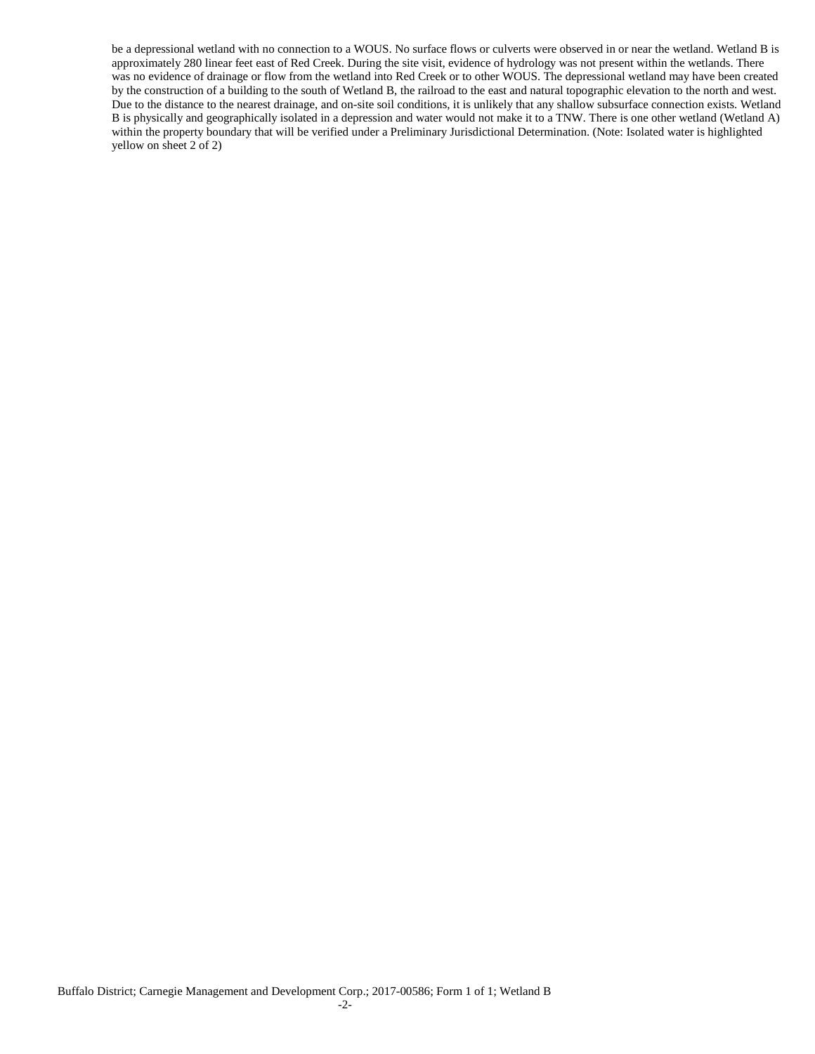be a depressional wetland with no connection to a WOUS. No surface flows or culverts were observed in or near the wetland. Wetland B is approximately 280 linear feet east of Red Creek. During the site visit, evidence of hydrology was not present within the wetlands. There was no evidence of drainage or flow from the wetland into Red Creek or to other WOUS. The depressional wetland may have been created by the construction of a building to the south of Wetland B, the railroad to the east and natural topographic elevation to the north and west. Due to the distance to the nearest drainage, and on-site soil conditions, it is unlikely that any shallow subsurface connection exists. Wetland B is physically and geographically isolated in a depression and water would not make it to a TNW. There is one other wetland (Wetland A) within the property boundary that will be verified under a Preliminary Jurisdictional Determination. (Note: Isolated water is highlighted yellow on sheet 2 of 2)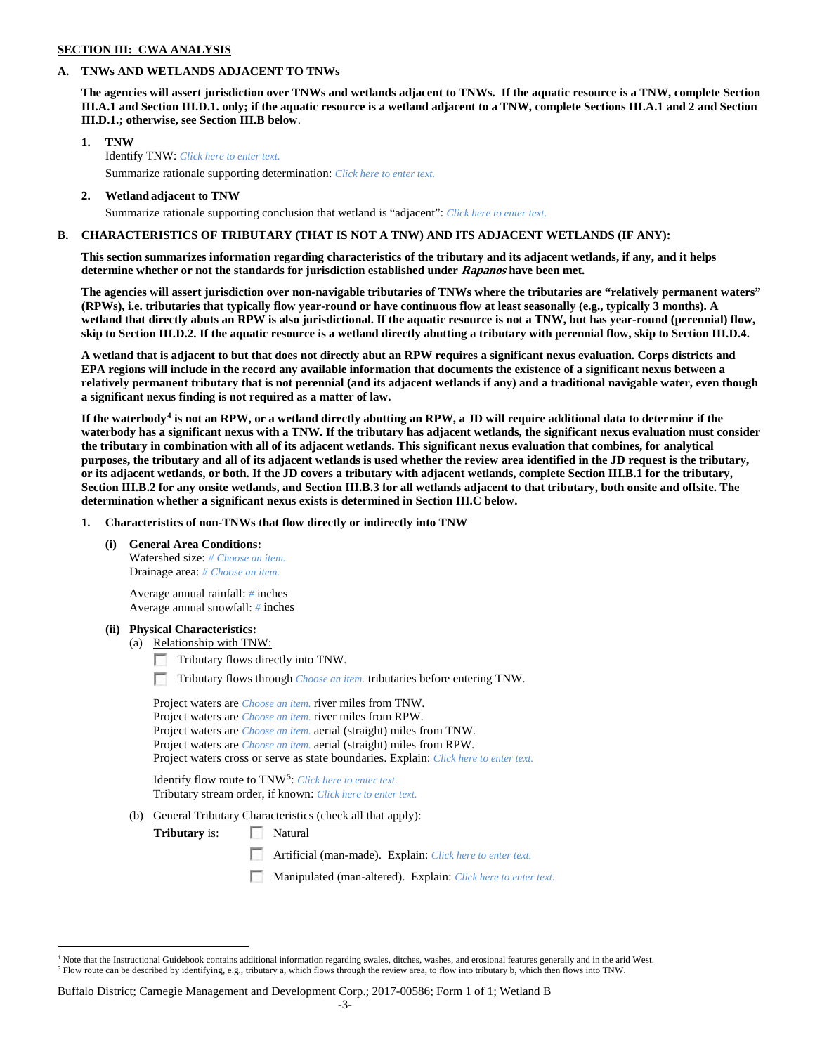### **SECTION III: CWA ANALYSIS**

### **A. TNWs AND WETLANDS ADJACENT TO TNWs**

**The agencies will assert jurisdiction over TNWs and wetlands adjacent to TNWs. If the aquatic resource is a TNW, complete Section III.A.1 and Section III.D.1. only; if the aquatic resource is a wetland adjacent to a TNW, complete Sections III.A.1 and 2 and Section III.D.1.; otherwise, see Section III.B below**.

- **1. TNW**  Identify TNW: *Click here to enter text.*
	- Summarize rationale supporting determination: *Click here to enter text.*
- **2. Wetland adjacent to TNW** Summarize rationale supporting conclusion that wetland is "adjacent": *Click here to enter text.*

### **B. CHARACTERISTICS OF TRIBUTARY (THAT IS NOT A TNW) AND ITS ADJACENT WETLANDS (IF ANY):**

**This section summarizes information regarding characteristics of the tributary and its adjacent wetlands, if any, and it helps determine whether or not the standards for jurisdiction established under Rapanos have been met.** 

**The agencies will assert jurisdiction over non-navigable tributaries of TNWs where the tributaries are "relatively permanent waters" (RPWs), i.e. tributaries that typically flow year-round or have continuous flow at least seasonally (e.g., typically 3 months). A wetland that directly abuts an RPW is also jurisdictional. If the aquatic resource is not a TNW, but has year-round (perennial) flow, skip to Section III.D.2. If the aquatic resource is a wetland directly abutting a tributary with perennial flow, skip to Section III.D.4.**

**A wetland that is adjacent to but that does not directly abut an RPW requires a significant nexus evaluation. Corps districts and EPA regions will include in the record any available information that documents the existence of a significant nexus between a relatively permanent tributary that is not perennial (and its adjacent wetlands if any) and a traditional navigable water, even though a significant nexus finding is not required as a matter of law.**

**If the waterbody[4](#page-2-0) is not an RPW, or a wetland directly abutting an RPW, a JD will require additional data to determine if the waterbody has a significant nexus with a TNW. If the tributary has adjacent wetlands, the significant nexus evaluation must consider the tributary in combination with all of its adjacent wetlands. This significant nexus evaluation that combines, for analytical purposes, the tributary and all of its adjacent wetlands is used whether the review area identified in the JD request is the tributary, or its adjacent wetlands, or both. If the JD covers a tributary with adjacent wetlands, complete Section III.B.1 for the tributary, Section III.B.2 for any onsite wetlands, and Section III.B.3 for all wetlands adjacent to that tributary, both onsite and offsite. The determination whether a significant nexus exists is determined in Section III.C below.**

**1. Characteristics of non-TNWs that flow directly or indirectly into TNW**

**(i) General Area Conditions:**

Watershed size: *# Choose an item.* Drainage area: *# Choose an item.*

Average annual rainfall: *#* inches Average annual snowfall: *#* inches

### **(ii) Physical Characteristics:**

- (a) Relationship with TNW:
	- Tributary flows directly into TNW.

n Tributary flows through *Choose an item.* tributaries before entering TNW.

Project waters are *Choose an item.* river miles from TNW. Project waters are *Choose an item.* river miles from RPW. Project waters are *Choose an item.* aerial (straight) miles from TNW. Project waters are *Choose an item.* aerial (straight) miles from RPW. Project waters cross or serve as state boundaries. Explain: *Click here to enter text.*

Identify flow route to TNW[5:](#page-2-1) *Click here to enter text.* Tributary stream order, if known: *Click here to enter text.*

(b) General Tributary Characteristics (check all that apply):

**Tributary** is: Natural

Artificial (man-made). Explain: *Click here to enter text.*

Manipulated (man-altered). Explain: *Click here to enter text.*

<span id="page-2-1"></span><span id="page-2-0"></span><sup>&</sup>lt;sup>4</sup> Note that the Instructional Guidebook contains additional information regarding swales, ditches, washes, and erosional features generally and in the arid West. <sup>5</sup> Flow route can be described by identifying, e.g., tributary a, which flows through the review area, to flow into tributary b, which then flows into TNW.

Buffalo District; Carnegie Management and Development Corp.; 2017-00586; Form 1 of 1; Wetland B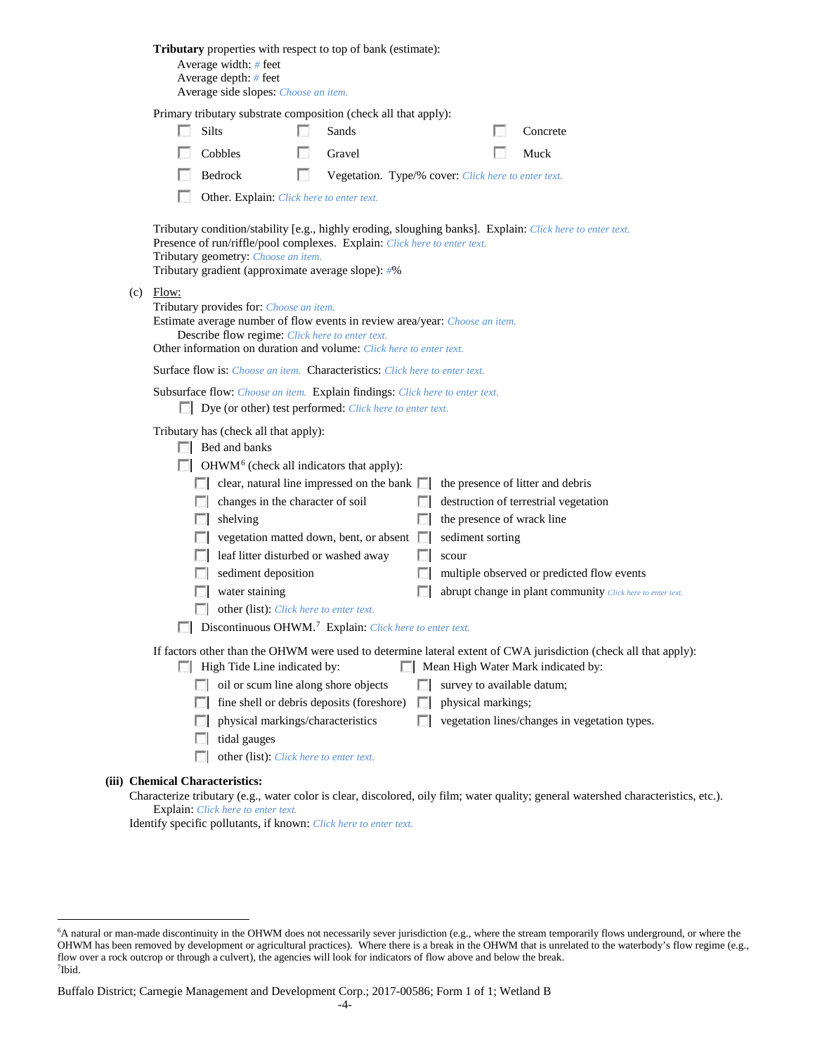|                                                                                                                                                                                                                                                                 | Average width: # feet<br>Average depth: # feet<br>Average side slopes: Choose an item.    |    | <b>Tributary</b> properties with respect to top of bank (estimate):                                                                      |             |                    |  |                                                                                                                                                        |  |  |  |  |
|-----------------------------------------------------------------------------------------------------------------------------------------------------------------------------------------------------------------------------------------------------------------|-------------------------------------------------------------------------------------------|----|------------------------------------------------------------------------------------------------------------------------------------------|-------------|--------------------|--|--------------------------------------------------------------------------------------------------------------------------------------------------------|--|--|--|--|
| Primary tributary substrate composition (check all that apply):                                                                                                                                                                                                 |                                                                                           |    |                                                                                                                                          |             |                    |  |                                                                                                                                                        |  |  |  |  |
|                                                                                                                                                                                                                                                                 | Silts                                                                                     |    | Sands                                                                                                                                    |             |                    |  | Concrete                                                                                                                                               |  |  |  |  |
|                                                                                                                                                                                                                                                                 | Cobbles                                                                                   | L. | Gravel                                                                                                                                   |             |                    |  | Muck                                                                                                                                                   |  |  |  |  |
|                                                                                                                                                                                                                                                                 | Bedrock                                                                                   | L. | Vegetation. Type/% cover: Click here to enter text.                                                                                      |             |                    |  |                                                                                                                                                        |  |  |  |  |
|                                                                                                                                                                                                                                                                 | Other. Explain: Click here to enter text.                                                 |    |                                                                                                                                          |             |                    |  |                                                                                                                                                        |  |  |  |  |
|                                                                                                                                                                                                                                                                 | Tributary geometry: Choose an item.<br>Tributary gradient (approximate average slope): #% |    | Presence of run/riffle/pool complexes. Explain: Click here to enter text.                                                                |             |                    |  | Tributary condition/stability [e.g., highly eroding, sloughing banks]. Explain: Click here to enter text.                                              |  |  |  |  |
| $(c)$ Flow:<br>Tributary provides for: Choose an item.<br>Estimate average number of flow events in review area/year: Choose an item.<br>Describe flow regime: Click here to enter text.<br>Other information on duration and volume: Click here to enter text. |                                                                                           |    |                                                                                                                                          |             |                    |  |                                                                                                                                                        |  |  |  |  |
| Surface flow is: <i>Choose an item.</i> Characteristics: <i>Click here to enter text.</i>                                                                                                                                                                       |                                                                                           |    |                                                                                                                                          |             |                    |  |                                                                                                                                                        |  |  |  |  |
|                                                                                                                                                                                                                                                                 |                                                                                           |    | Subsurface flow: Choose an item. Explain findings: Click here to enter text.<br>Dye (or other) test performed: Click here to enter text. |             |                    |  |                                                                                                                                                        |  |  |  |  |
| Tributary has (check all that apply):<br>$\Box$ Bed and banks                                                                                                                                                                                                   |                                                                                           |    |                                                                                                                                          |             |                    |  |                                                                                                                                                        |  |  |  |  |
|                                                                                                                                                                                                                                                                 | $\Box$ OHWM <sup>6</sup> (check all indicators that apply):                               |    |                                                                                                                                          |             |                    |  |                                                                                                                                                        |  |  |  |  |
|                                                                                                                                                                                                                                                                 |                                                                                           |    | $\Box$ clear, natural line impressed on the bank $\Box$                                                                                  |             |                    |  | the presence of litter and debris                                                                                                                      |  |  |  |  |
|                                                                                                                                                                                                                                                                 | changes in the character of soil                                                          |    |                                                                                                                                          |             |                    |  | destruction of terrestrial vegetation                                                                                                                  |  |  |  |  |
|                                                                                                                                                                                                                                                                 | shelving                                                                                  |    | vegetation matted down, bent, or absent $\Box$                                                                                           |             | sediment sorting   |  | the presence of wrack line                                                                                                                             |  |  |  |  |
|                                                                                                                                                                                                                                                                 | leaf litter disturbed or washed away                                                      |    |                                                                                                                                          |             | scour              |  |                                                                                                                                                        |  |  |  |  |
|                                                                                                                                                                                                                                                                 | sediment deposition                                                                       |    |                                                                                                                                          |             |                    |  | multiple observed or predicted flow events                                                                                                             |  |  |  |  |
|                                                                                                                                                                                                                                                                 | water staining                                                                            |    |                                                                                                                                          |             |                    |  | abrupt change in plant community Click here to enter text.                                                                                             |  |  |  |  |
|                                                                                                                                                                                                                                                                 | other (list): Click here to enter text.                                                   |    |                                                                                                                                          |             |                    |  |                                                                                                                                                        |  |  |  |  |
| Discontinuous OHWM. <sup>7</sup> Explain: Click here to enter text.                                                                                                                                                                                             |                                                                                           |    |                                                                                                                                          |             |                    |  |                                                                                                                                                        |  |  |  |  |
|                                                                                                                                                                                                                                                                 | $\Box$ High Tide Line indicated by:                                                       |    |                                                                                                                                          |             |                    |  | If factors other than the OHWM were used to determine lateral extent of CWA jurisdiction (check all that apply):<br>Mean High Water Mark indicated by: |  |  |  |  |
| $\sim$                                                                                                                                                                                                                                                          | oil or scum line along shore objects                                                      |    |                                                                                                                                          |             |                    |  | survey to available datum;                                                                                                                             |  |  |  |  |
| FЛ                                                                                                                                                                                                                                                              |                                                                                           |    | fine shell or debris deposits (foreshore)                                                                                                | <b>I</b> in | physical markings; |  |                                                                                                                                                        |  |  |  |  |
| L.                                                                                                                                                                                                                                                              | physical markings/characteristics                                                         |    |                                                                                                                                          | п           |                    |  | vegetation lines/changes in vegetation types.                                                                                                          |  |  |  |  |
| <b>I</b> in                                                                                                                                                                                                                                                     | tidal gauges                                                                              |    |                                                                                                                                          |             |                    |  |                                                                                                                                                        |  |  |  |  |
|                                                                                                                                                                                                                                                                 | other (list): Click here to enter text.                                                   |    |                                                                                                                                          |             |                    |  |                                                                                                                                                        |  |  |  |  |
| <b>Chemical Characteristics:</b>                                                                                                                                                                                                                                |                                                                                           |    |                                                                                                                                          |             |                    |  | Characterize tributary (e.g., water color is clear, discolored, oily film; water quality; general watershed characteristics, etc.).                    |  |  |  |  |

Explain: *Click here to enter text.*

**(iii)** 

Identify specific pollutants, if known: *Click here to enter text.*

<span id="page-3-1"></span><span id="page-3-0"></span> <sup>6</sup> <sup>6</sup>A natural or man-made discontinuity in the OHWM does not necessarily sever jurisdiction (e.g., where the stream temporarily flows underground, or where the OHWM has been removed by development or agricultural practices). Where there is a break in the OHWM that is unrelated to the waterbody's flow regime (e.g., flow over a rock outcrop or through a culvert), the agencies will look for indicators of flow above and below the break. 7 Ibid.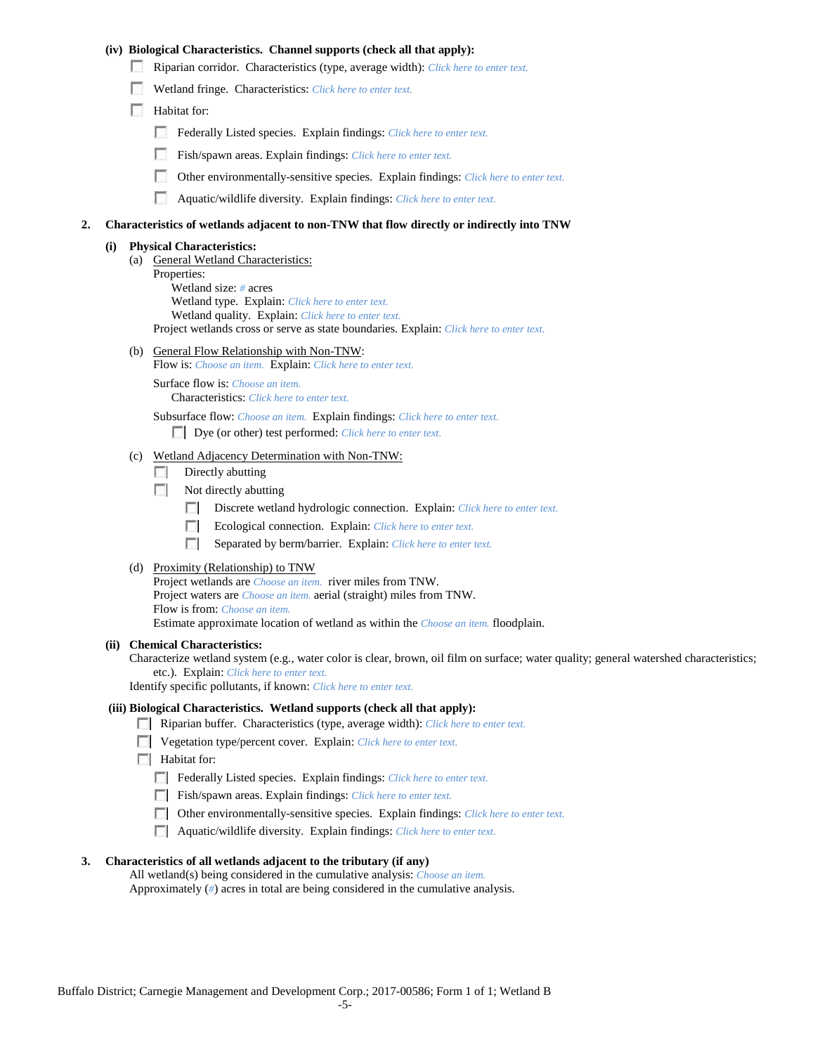### **(iv) Biological Characteristics. Channel supports (check all that apply):**

- Riparian corridor. Characteristics (type, average width): *Click here to enter text.*
- Wetland fringe. Characteristics: *Click here to enter text.*
- Habitat for:
	- Federally Listed species. Explain findings: *Click here to enter text.*
	- Fish/spawn areas. Explain findings: *Click here to enter text.*
	- Other environmentally-sensitive species. Explain findings: *Click here to enter text.* m.
	- n Aquatic/wildlife diversity. Explain findings: *Click here to enter text.*

#### **2. Characteristics of wetlands adjacent to non-TNW that flow directly or indirectly into TNW**

#### **(i) Physical Characteristics:**

- (a) General Wetland Characteristics:
	- Properties:

Wetland size: *#* acres Wetland type. Explain: *Click here to enter text.*

Wetland quality. Explain: *Click here to enter text.*

Project wetlands cross or serve as state boundaries. Explain: *Click here to enter text.*

(b) General Flow Relationship with Non-TNW: Flow is: *Choose an item.* Explain: *Click here to enter text.*

Surface flow is: *Choose an item.* Characteristics: *Click here to enter text.*

Subsurface flow: *Choose an item.* Explain findings: *Click here to enter text.*

Dye (or other) test performed: *Click here to enter text.*

#### (c) Wetland Adjacency Determination with Non-TNW:

- $\Box$  Directly abutting
- Not directly abutting
	- **The State** Discrete wetland hydrologic connection. Explain: *Click here to enter text.*
	- Ecological connection. Explain: *Click here to enter text.* **The Contract of the Contract of the Contract of the Contract of the Contract of the Contract of the Contract of the Contract of the Contract of the Contract of the Contract of the Contract of the Contract of the Contract**
	- $\sim$ Separated by berm/barrier. Explain: *Click here to enter text.*
- (d) Proximity (Relationship) to TNW

Project wetlands are *Choose an item.* river miles from TNW. Project waters are *Choose an item.* aerial (straight) miles from TNW. Flow is from: *Choose an item.* Estimate approximate location of wetland as within the *Choose an item.* floodplain.

#### **(ii) Chemical Characteristics:**

Characterize wetland system (e.g., water color is clear, brown, oil film on surface; water quality; general watershed characteristics; etc.). Explain: *Click here to enter text.*

Identify specific pollutants, if known: *Click here to enter text.*

### **(iii) Biological Characteristics. Wetland supports (check all that apply):**

- Riparian buffer. Characteristics (type, average width): *Click here to enter text.*
- Vegetation type/percent cover. Explain: *Click here to enter text.*
- $\Box$  Habitat for:
	- Federally Listed species. Explain findings: *Click here to enter text*.
	- Fish/spawn areas. Explain findings: *Click here to enter text.*
	- Other environmentally-sensitive species. Explain findings: *Click here to enter text.*
	- Aquatic/wildlife diversity. Explain findings: *Click here to enter text.*

#### **3. Characteristics of all wetlands adjacent to the tributary (if any)**

All wetland(s) being considered in the cumulative analysis: *Choose an item.* Approximately (*#*) acres in total are being considered in the cumulative analysis.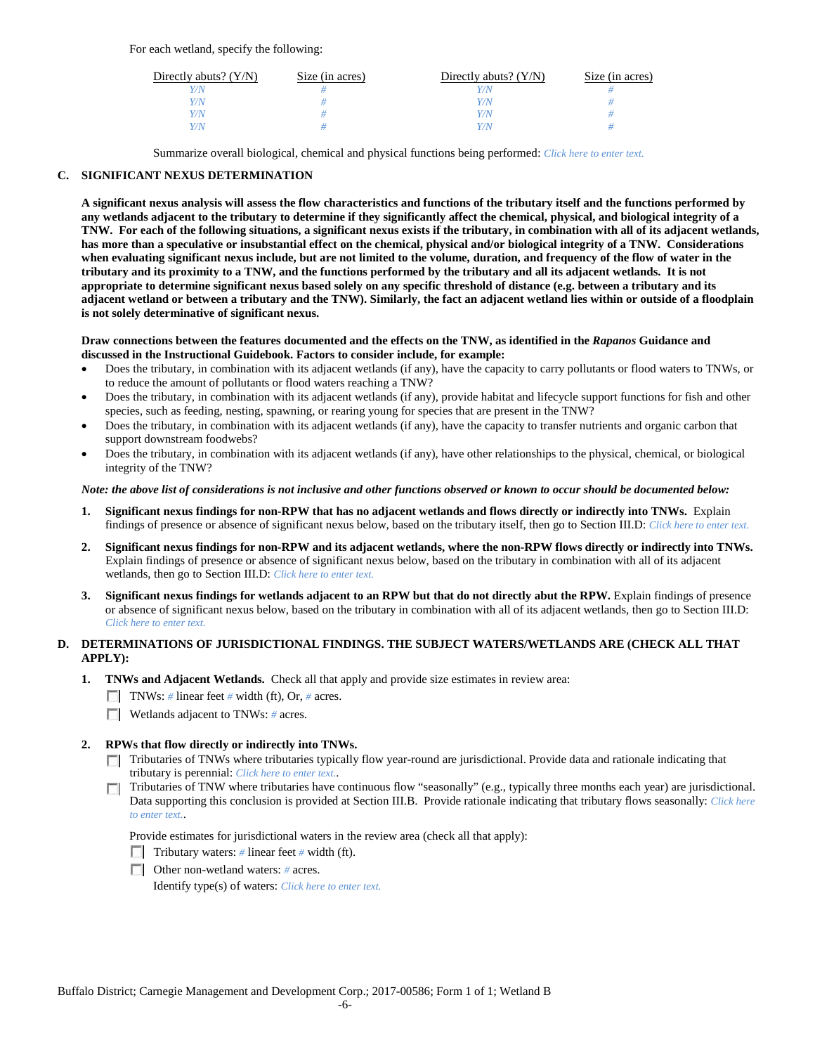For each wetland, specify the following:

| Directly abuts? $(Y/N)$ | Size (in acres) | Directly abuts? $(Y/N)$ | Size (in acres) |
|-------------------------|-----------------|-------------------------|-----------------|
|                         |                 | Y/N                     |                 |
| V/N                     |                 | Y/N                     |                 |
| V/N                     |                 | Y/N                     |                 |
|                         |                 | Y/N                     |                 |

Summarize overall biological, chemical and physical functions being performed: *Click here to enter text.*

## **C. SIGNIFICANT NEXUS DETERMINATION**

**A significant nexus analysis will assess the flow characteristics and functions of the tributary itself and the functions performed by any wetlands adjacent to the tributary to determine if they significantly affect the chemical, physical, and biological integrity of a TNW. For each of the following situations, a significant nexus exists if the tributary, in combination with all of its adjacent wetlands, has more than a speculative or insubstantial effect on the chemical, physical and/or biological integrity of a TNW. Considerations when evaluating significant nexus include, but are not limited to the volume, duration, and frequency of the flow of water in the tributary and its proximity to a TNW, and the functions performed by the tributary and all its adjacent wetlands. It is not appropriate to determine significant nexus based solely on any specific threshold of distance (e.g. between a tributary and its adjacent wetland or between a tributary and the TNW). Similarly, the fact an adjacent wetland lies within or outside of a floodplain is not solely determinative of significant nexus.** 

### **Draw connections between the features documented and the effects on the TNW, as identified in the** *Rapanos* **Guidance and discussed in the Instructional Guidebook. Factors to consider include, for example:**

- Does the tributary, in combination with its adjacent wetlands (if any), have the capacity to carry pollutants or flood waters to TNWs, or to reduce the amount of pollutants or flood waters reaching a TNW?
- Does the tributary, in combination with its adjacent wetlands (if any), provide habitat and lifecycle support functions for fish and other species, such as feeding, nesting, spawning, or rearing young for species that are present in the TNW?
- Does the tributary, in combination with its adjacent wetlands (if any), have the capacity to transfer nutrients and organic carbon that support downstream foodwebs?
- Does the tributary, in combination with its adjacent wetlands (if any), have other relationships to the physical, chemical, or biological integrity of the TNW?

### *Note: the above list of considerations is not inclusive and other functions observed or known to occur should be documented below:*

- **1. Significant nexus findings for non-RPW that has no adjacent wetlands and flows directly or indirectly into TNWs.** Explain findings of presence or absence of significant nexus below, based on the tributary itself, then go to Section III.D: *Click here to enter text.*
- **2. Significant nexus findings for non-RPW and its adjacent wetlands, where the non-RPW flows directly or indirectly into TNWs.**  Explain findings of presence or absence of significant nexus below, based on the tributary in combination with all of its adjacent wetlands, then go to Section III.D: *Click here to enter text.*
- **3. Significant nexus findings for wetlands adjacent to an RPW but that do not directly abut the RPW.** Explain findings of presence or absence of significant nexus below, based on the tributary in combination with all of its adjacent wetlands, then go to Section III.D: *Click here to enter text.*

# **D. DETERMINATIONS OF JURISDICTIONAL FINDINGS. THE SUBJECT WATERS/WETLANDS ARE (CHECK ALL THAT APPLY):**

- **1. TNWs and Adjacent Wetlands.** Check all that apply and provide size estimates in review area:
	- TNWs: *#* linear feet *#* width (ft), Or, *#* acres.
	- **Wetlands adjacent to TNWs:** # acres.

## **2. RPWs that flow directly or indirectly into TNWs.**

- Tributaries of TNWs where tributaries typically flow year-round are jurisdictional. Provide data and rationale indicating that tributary is perennial: *Click here to enter text.*.
- Tributaries of TNW where tributaries have continuous flow "seasonally" (e.g., typically three months each year) are jurisdictional.  $\mathcal{L}$ Data supporting this conclusion is provided at Section III.B. Provide rationale indicating that tributary flows seasonally: *Click here to enter text.*.

Provide estimates for jurisdictional waters in the review area (check all that apply):

- Tributary waters: # linear feet # width (ft).
- Other non-wetland waters: *#* acres.

Identify type(s) of waters: *Click here to enter text.*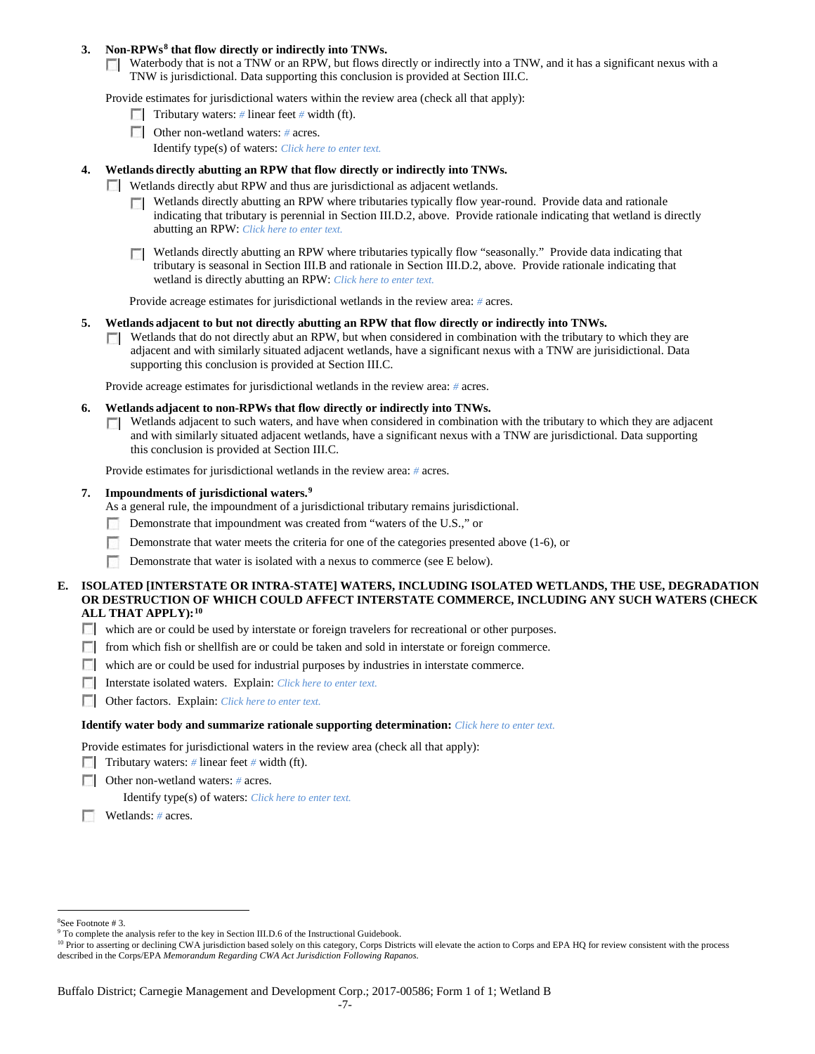### **3. Non-RPWs[8](#page-6-0) that flow directly or indirectly into TNWs.**

Waterbody that is not a TNW or an RPW, but flows directly or indirectly into a TNW, and it has a significant nexus with a TNW is jurisdictional. Data supporting this conclusion is provided at Section III.C.

Provide estimates for jurisdictional waters within the review area (check all that apply):

- **Tributary waters:** # linear feet # width (ft).
- Other non-wetland waters: # acres. Identify type(s) of waters: *Click here to enter text.*
- **4. Wetlands directly abutting an RPW that flow directly or indirectly into TNWs.**
	- **Wetlands directly abut RPW and thus are jurisdictional as adjacent wetlands.** 
		- $\Box$  Wetlands directly abutting an RPW where tributaries typically flow year-round. Provide data and rationale indicating that tributary is perennial in Section III.D.2, above. Provide rationale indicating that wetland is directly abutting an RPW: *Click here to enter text.*
		- Wetlands directly abutting an RPW where tributaries typically flow "seasonally." Provide data indicating that tributary is seasonal in Section III.B and rationale in Section III.D.2, above. Provide rationale indicating that wetland is directly abutting an RPW: *Click here to enter text.*

Provide acreage estimates for jurisdictional wetlands in the review area: *#* acres.

- **5. Wetlands adjacent to but not directly abutting an RPW that flow directly or indirectly into TNWs.**
	- $\Box$  Wetlands that do not directly abut an RPW, but when considered in combination with the tributary to which they are adjacent and with similarly situated adjacent wetlands, have a significant nexus with a TNW are jurisidictional. Data supporting this conclusion is provided at Section III.C.

Provide acreage estimates for jurisdictional wetlands in the review area: *#* acres.

- **6. Wetlands adjacent to non-RPWs that flow directly or indirectly into TNWs.** 
	- Wetlands adjacent to such waters, and have when considered in combination with the tributary to which they are adjacent **TO** and with similarly situated adjacent wetlands, have a significant nexus with a TNW are jurisdictional. Data supporting this conclusion is provided at Section III.C.

Provide estimates for jurisdictional wetlands in the review area: *#* acres.

### **7. Impoundments of jurisdictional waters. [9](#page-6-1)**

As a general rule, the impoundment of a jurisdictional tributary remains jurisdictional.

- Demonstrate that impoundment was created from "waters of the U.S.," or
- Demonstrate that water meets the criteria for one of the categories presented above (1-6), or
- n Demonstrate that water is isolated with a nexus to commerce (see E below).
- **E. ISOLATED [INTERSTATE OR INTRA-STATE] WATERS, INCLUDING ISOLATED WETLANDS, THE USE, DEGRADATION OR DESTRUCTION OF WHICH COULD AFFECT INTERSTATE COMMERCE, INCLUDING ANY SUCH WATERS (CHECK ALL THAT APPLY):[10](#page-6-2)**
	- which are or could be used by interstate or foreign travelers for recreational or other purposes.
	- from which fish or shellfish are or could be taken and sold in interstate or foreign commerce.
	- which are or could be used for industrial purposes by industries in interstate commerce.
	- Interstate isolated waters.Explain: *Click here to enter text.*
	- Other factors.Explain: *Click here to enter text.*

#### **Identify water body and summarize rationale supporting determination:** *Click here to enter text.*

Provide estimates for jurisdictional waters in the review area (check all that apply):

- Tributary waters: # linear feet # width (ft).
- Other non-wetland waters: *#* acres.

Identify type(s) of waters: *Click here to enter text.*

Wetlands: *#* acres.

 $\frac{1}{8}$ 

<span id="page-6-1"></span><span id="page-6-0"></span><sup>&</sup>lt;sup>8</sup>See Footnote # 3.<br><sup>9</sup> To complete the analysis refer to the key in Section III.D.6 of the Instructional Guidebook.

<span id="page-6-2"></span><sup>&</sup>lt;sup>10</sup> Prior to asserting or declining CWA jurisdiction based solely on this category, Corps Districts will elevate the action to Corps and EPA HQ for review consistent with the process described in the Corps/EPA *Memorandum Regarding CWA Act Jurisdiction Following Rapanos.*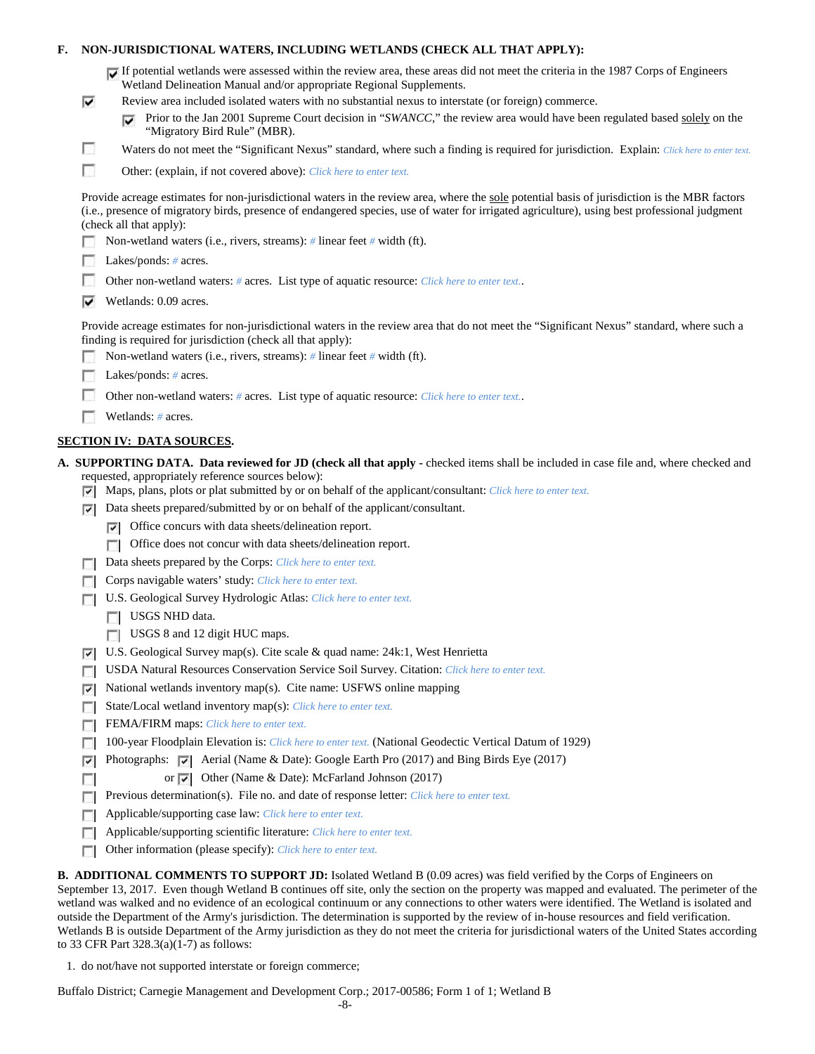## **F. NON-JURISDICTIONAL WATERS, INCLUDING WETLANDS (CHECK ALL THAT APPLY):**

| If potential wetlands were assessed within the review area, these areas did not meet the criteria in the 1987 Corps of Engineers |
|----------------------------------------------------------------------------------------------------------------------------------|
| Wetland Delineation Manual and/or appropriate Regional Supplements.                                                              |

- Review area included isolated waters with no substantial nexus to interstate (or foreign) commerce.
	- **Prior to the Jan 2001 Supreme Court decision in "***SWANCC*," the review area would have been regulated based solely on the "Migratory Bird Rule" (MBR).
- Waters do not meet the "Significant Nexus" standard, where such a finding is required for jurisdiction. Explain: Click here to enter text.
- F Other: (explain, if not covered above): *Click here to enter text.*

Provide acreage estimates for non-jurisdictional waters in the review area, where the sole potential basis of jurisdiction is the MBR factors (i.e., presence of migratory birds, presence of endangered species, use of water for irrigated agriculture), using best professional judgment (check all that apply):

Non-wetland waters (i.e., rivers, streams): *#* linear feet *#* width (ft).

Lakes/ponds: *#* acres.

⊽

г

- Г Other non-wetland waters: *#* acres. List type of aquatic resource: *Click here to enter text.*.
- $\triangledown$  Wetlands: 0.09 acres.

Provide acreage estimates for non-jurisdictional waters in the review area that do not meet the "Significant Nexus" standard, where such a finding is required for jurisdiction (check all that apply):

- m. Non-wetland waters (i.e., rivers, streams): *#* linear feet *#* width (ft).
- Lakes/ponds: *#* acres.
- Other non-wetland waters: *#* acres. List type of aquatic resource: *Click here to enter text.*.
- Wetlands: # acres.

## **SECTION IV: DATA SOURCES.**

- **A. SUPPORTING DATA. Data reviewed for JD (check all that apply -** checked items shall be included in case file and, where checked and requested, appropriately reference sources below):
	- Maps, plans, plots or plat submitted by or on behalf of the applicant/consultant: *Click here to enter text.*
	- $\nabla$  Data sheets prepared/submitted by or on behalf of the applicant/consultant.
		- Office concurs with data sheets/delineation report.
		- Office does not concur with data sheets/delineation report.
	- Data sheets prepared by the Corps: *Click here to enter text.*  $\overline{a}$
	- **Corps navigable waters' study:** *Click here to enter text.*
	- U.S. Geological Survey Hydrologic Atlas: *Click here to enter text.*
		- USGS NHD data.

п

- USGS 8 and 12 digit HUC maps.
- U.S. Geological Survey map(s). Cite scale & quad name: 24k:1, West Henrietta
- USDA Natural Resources Conservation Service Soil Survey. Citation: *Click here to enter text.*
- National wetlands inventory map(s). Cite name: USFWS online mapping ⊽
- State/Local wetland inventory map(s): *Click here to enter text.* п
- FEMA/FIRM maps: *Click here to enter text.*  $\Box$
- 100-year Floodplain Elevation is: *Click here to enter text.* (National Geodectic Vertical Datum of 1929)
- **Photographs:**  $\vec{v}$  Aerial (Name & Date): Google Earth Pro (2017) and Bing Birds Eye (2017)
	- or  $\overline{\triangledown}$  Other (Name & Date): McFarland Johnson (2017)
- **Previous determination(s). File no. and date of response letter:** *Click here to enter text.*
- Applicable/supporting case law: *Click here to enter text.* п
- Applicable/supporting scientific literature: *Click here to enter text.*  $\Box$
- Other information (please specify): *Click here to enter text.*  $\Box$

**B. ADDITIONAL COMMENTS TO SUPPORT JD:** Isolated Wetland B (0.09 acres) was field verified by the Corps of Engineers on September 13, 2017. Even though Wetland B continues off site, only the section on the property was mapped and evaluated. The perimeter of the wetland was walked and no evidence of an ecological continuum or any connections to other waters were identified. The Wetland is isolated and outside the Department of the Army's jurisdiction. The determination is supported by the review of in-house resources and field verification. Wetlands B is outside Department of the Army jurisdiction as they do not meet the criteria for jurisdictional waters of the United States according to 33 CFR Part 328.3(a)(1-7) as follows:

1. do not/have not supported interstate or foreign commerce;

Buffalo District; Carnegie Management and Development Corp.; 2017-00586; Form 1 of 1; Wetland B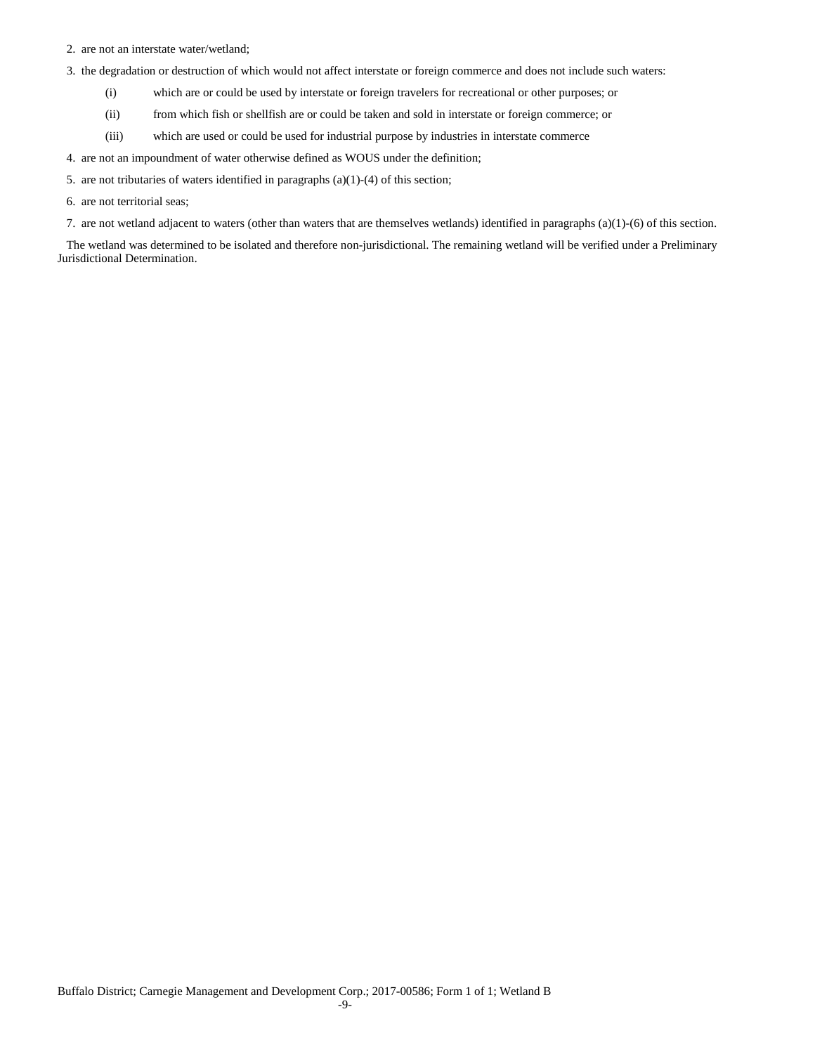- 2. are not an interstate water/wetland;
- 3. the degradation or destruction of which would not affect interstate or foreign commerce and does not include such waters:
	- (i) which are or could be used by interstate or foreign travelers for recreational or other purposes; or
	- (ii) from which fish or shellfish are or could be taken and sold in interstate or foreign commerce; or
	- (iii) which are used or could be used for industrial purpose by industries in interstate commerce
- 4. are not an impoundment of water otherwise defined as WOUS under the definition;
- 5. are not tributaries of waters identified in paragraphs (a)(1)-(4) of this section;
- 6. are not territorial seas;
- 7. are not wetland adjacent to waters (other than waters that are themselves wetlands) identified in paragraphs (a)(1)-(6) of this section.

The wetland was determined to be isolated and therefore non-jurisdictional. The remaining wetland will be verified under a Preliminary Jurisdictional Determination.